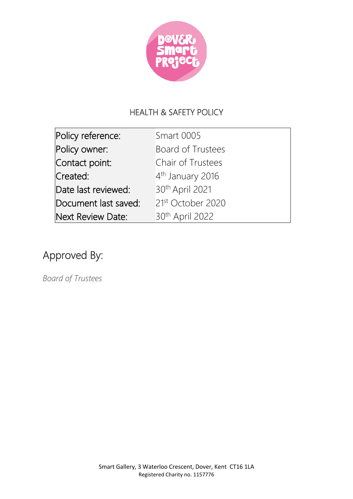

# HEALTH & SAFETY POLICY

| Policy reference:    | <b>Smart 0005</b>             |
|----------------------|-------------------------------|
| Policy owner:        | <b>Board of Trustees</b>      |
| Contact point:       | Chair of Trustees             |
| Created:             | 4 <sup>th</sup> January 2016  |
| Date last reviewed:  | 30th April 2021               |
| Document last saved: | 21 <sup>st</sup> October 2020 |
| Next Review Date:    | 30 <sup>th</sup> April 2022   |

# Approved By:

*Board of Trustees*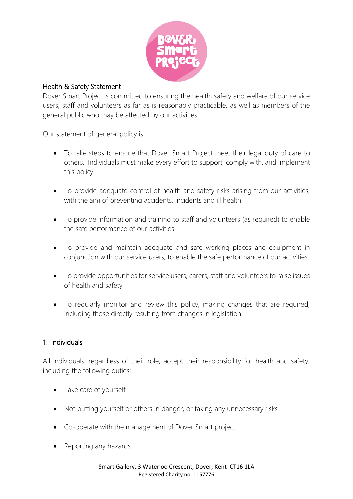

#### Health & Safety Statement

Dover Smart Project is committed to ensuring the health, safety and welfare of our service users, staff and volunteers as far as is reasonably practicable, as well as members of the general public who may be affected by our activities.

Our statement of general policy is:

- To take steps to ensure that Dover Smart Project meet their legal duty of care to others. Individuals must make every effort to support, comply with, and implement this policy
- To provide adequate control of health and safety risks arising from our activities, with the aim of preventing accidents, incidents and ill health
- To provide information and training to staff and volunteers (as required) to enable the safe performance of our activities
- To provide and maintain adequate and safe working places and equipment in conjunction with our service users, to enable the safe performance of our activities.
- To provide opportunities for service users, carers, staff and volunteers to raise issues of health and safety
- To regularly monitor and review this policy, making changes that are required, including those directly resulting from changes in legislation.

#### 1. Individuals

All individuals, regardless of their role, accept their responsibility for health and safety, including the following duties:

- Take care of yourself
- Not putting yourself or others in danger, or taking any unnecessary risks
- Co-operate with the management of Dover Smart project
- Reporting any hazards